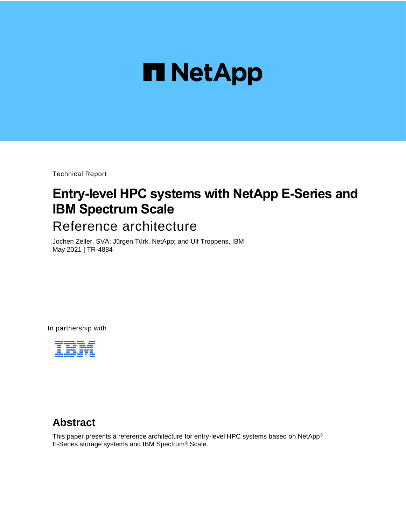

Technical Report

# **Entry-level HPC systems with NetApp E-Series and IBM Spectrum Scale**

# Reference architecture

Jochen Zeller, SVA; Jürgen Türk, NetApp; and Ulf Troppens, IBM May 2021 | TR-4884

In partnership with



### **Abstract**

This paper presents a reference architecture for entry-level HPC systems based on NetApp® E-Series storage systems and IBM Spectrum® Scale.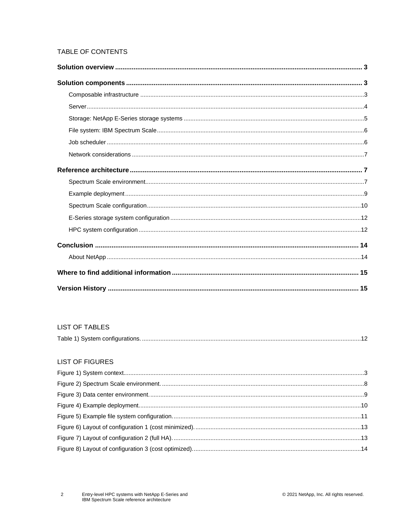#### TABLE OF CONTENTS

#### **LIST OF TABLES**

|--|

#### **LIST OF FIGURES**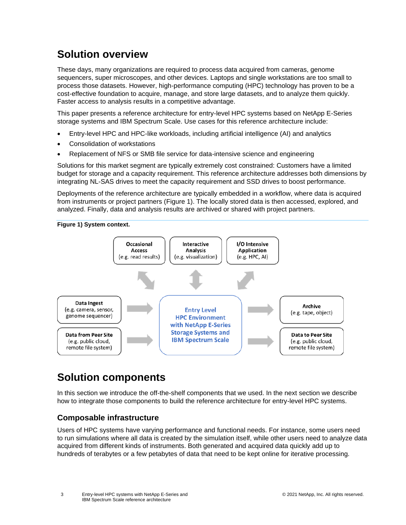## <span id="page-2-0"></span>**Solution overview**

These days, many organizations are required to process data acquired from cameras, genome sequencers, super microscopes, and other devices. Laptops and single workstations are too small to process those datasets. However, high-performance computing (HPC) technology has proven to be a cost-effective foundation to acquire, manage, and store large datasets, and to analyze them quickly. Faster access to analysis results in a competitive advantage.

This paper presents a reference architecture for entry-level HPC systems based on NetApp E-Series storage systems and IBM Spectrum Scale. Use cases for this reference architecture include:

- Entry-level HPC and HPC-like workloads, including artificial intelligence (AI) and analytics
- Consolidation of workstations
- Replacement of NFS or SMB file service for data-intensive science and engineering

Solutions for this market segment are typically extremely cost constrained: Customers have a limited budget for storage and a capacity requirement. This reference architecture addresses both dimensions by integrating NL-SAS drives to meet the capacity requirement and SSD drives to boost performance.

Deployments of the reference architecture are typically embedded in a workflow, where data is acquired from instruments or project partners [\(Figure 1\)](#page-2-3). The locally stored data is then accessed, explored, and analyzed. Finally, data and analysis results are archived or shared with project partners.

<span id="page-2-3"></span>



## <span id="page-2-1"></span>**Solution components**

In this section we introduce the off-the-shelf components that we used. In the next section we describe how to integrate those components to build the reference architecture for entry-level HPC systems.

### <span id="page-2-2"></span>**Composable infrastructure**

Users of HPC systems have varying performance and functional needs. For instance, some users need to run simulations where all data is created by the simulation itself, while other users need to analyze data acquired from different kinds of instruments. Both generated and acquired data quickly add up to hundreds of terabytes or a few petabytes of data that need to be kept online for iterative processing.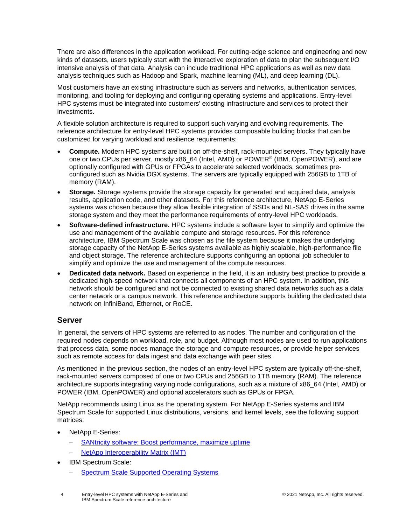There are also differences in the application workload. For cutting-edge science and engineering and new kinds of datasets, users typically start with the interactive exploration of data to plan the subsequent I/O intensive analysis of that data. Analysis can include traditional HPC applications as well as new data analysis techniques such as Hadoop and Spark, machine learning (ML), and deep learning (DL).

Most customers have an existing infrastructure such as servers and networks, authentication services, monitoring, and tooling for deploying and configuring operating systems and applications. Entry-level HPC systems must be integrated into customers' existing infrastructure and services to protect their investments.

A flexible solution architecture is required to support such varying and evolving requirements. The reference architecture for entry-level HPC systems provides composable building blocks that can be customized for varying workload and resilience requirements:

- **Compute.** Modern HPC systems are built on off-the-shelf, rack-mounted servers. They typically have one or two CPUs per server, mostly x86  $64$  (Intel, AMD) or POWER<sup>®</sup> (IBM, OpenPOWER), and are optionally configured with GPUs or FPGAs to accelerate selected workloads, sometimes preconfigured such as Nvidia DGX systems. The servers are typically equipped with 256GB to 1TB of memory (RAM).
- **Storage.** Storage systems provide the storage capacity for generated and acquired data, analysis results, application code, and other datasets. For this reference architecture, NetApp E-Series systems was chosen because they allow flexible integration of SSDs and NL-SAS drives in the same storage system and they meet the performance requirements of entry-level HPC workloads.
- **Software-defined infrastructure.** HPC systems include a software layer to simplify and optimize the use and management of the available compute and storage resources. For this reference architecture, IBM Spectrum Scale was chosen as the file system because it makes the underlying storage capacity of the NetApp E-Series systems available as highly scalable, high-performance file and object storage. The reference architecture supports configuring an optional job scheduler to simplify and optimize the use and management of the compute resources.
- **Dedicated data network.** Based on experience in the field, it is an industry best practice to provide a dedicated high-speed network that connects all components of an HPC system. In addition, this network should be configured and not be connected to existing shared data networks such as a data center network or a campus network. This reference architecture supports building the dedicated data network on InfiniBand, Ethernet, or RoCE.

### <span id="page-3-0"></span>**Server**

In general, the servers of HPC systems are referred to as nodes. The number and configuration of the required nodes depends on workload, role, and budget. Although most nodes are used to run applications that process data, some nodes manage the storage and compute resources, or provide helper services such as remote access for data ingest and data exchange with peer sites.

As mentioned in the previous section, the nodes of an entry-level HPC system are typically off-the-shelf, rack-mounted servers composed of one or two CPUs and 256GB to 1TB memory (RAM). The reference architecture supports integrating varying node configurations, such as a mixture of x86\_64 (Intel, AMD) or POWER (IBM, OpenPOWER) and optional accelerators such as GPUs or FPGA.

NetApp recommends using Linux as the operating system. For NetApp E-Series systems and IBM Spectrum Scale for supported Linux distributions, versions, and kernel levels, see the following support matrices:

- NetApp E-Series:
	- − [SANtricity software: Boost performance, maximize uptime](file:///C:/Users/jsnyder/AppData/Local/Microsoft/Windows/INetCache/Content.Outlook/OYAB2J62/uptime%20https:/www.netapp.com/de/products/data-management-software/santricity-os.aspx)
	- − [NetApp Interoperability Matrix \(IMT\)](https://mysupport.netapp.com/matrix/#welcome)
- IBM Spectrum Scale:
	- − [Spectrum Scale Supported Operating Systems](https://www.ibm.com/docs/en/spectrum-scale/5.1.0?topic=spectrum-scale-faq#fsi)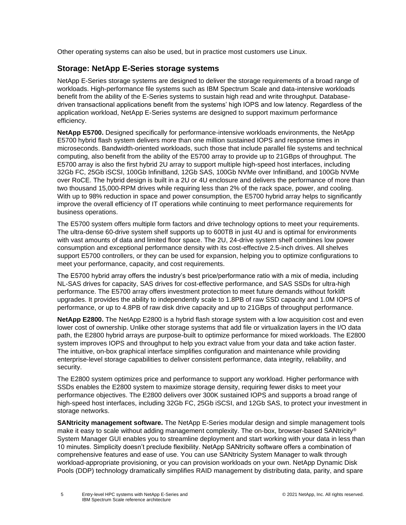Other operating systems can also be used, but in practice most customers use Linux.

### <span id="page-4-0"></span>**Storage: NetApp E-Series storage systems**

NetApp E-Series storage systems are designed to deliver the storage requirements of a broad range of workloads. High-performance file systems such as IBM Spectrum Scale and data-intensive workloads benefit from the ability of the E-Series systems to sustain high read and write throughput. Databasedriven transactional applications benefit from the systems' high IOPS and low latency. Regardless of the application workload, NetApp E-Series systems are designed to support maximum performance efficiency.

**NetApp E5700.** Designed specifically for performance-intensive workloads environments, the NetApp E5700 hybrid flash system delivers more than one million sustained IOPS and response times in microseconds. Bandwidth-oriented workloads, such those that include parallel file systems and technical computing, also benefit from the ability of the E5700 array to provide up to 21GBps of throughput. The E5700 array is also the first hybrid 2U array to support multiple high-speed host interfaces, including 32Gb FC, 25Gb iSCSI, 100Gb InfiniBand, 12Gb SAS, 100Gb NVMe over InfiniBand, and 100Gb NVMe over RoCE. The hybrid design is built in a 2U or 4U enclosure and delivers the performance of more than two thousand 15,000-RPM drives while requiring less than 2% of the rack space, power, and cooling. With up to 98% reduction in space and power consumption, the E5700 hybrid array helps to significantly improve the overall efficiency of IT operations while continuing to meet performance requirements for business operations.

The E5700 system offers multiple form factors and drive technology options to meet your requirements. The ultra-dense 60-drive system shelf supports up to 600TB in just 4U and is optimal for environments with vast amounts of data and limited floor space. The 2U, 24-drive system shelf combines low power consumption and exceptional performance density with its cost-effective 2.5-inch drives. All shelves support E5700 controllers, or they can be used for expansion, helping you to optimize configurations to meet your performance, capacity, and cost requirements.

The E5700 hybrid array offers the industry's best price/performance ratio with a mix of media, including NL-SAS drives for capacity, SAS drives for cost-effective performance, and SAS SSDs for ultra-high performance. The E5700 array offers investment protection to meet future demands without forklift upgrades. It provides the ability to independently scale to 1.8PB of raw SSD capacity and 1.0M IOPS of performance, or up to 4.8PB of raw disk drive capacity and up to 21GBps of throughput performance.

**NetApp E2800.** The NetApp E2800 is a hybrid flash storage system with a low acquisition cost and even lower cost of ownership. Unlike other storage systems that add file or virtualization layers in the I/O data path, the E2800 hybrid arrays are purpose-built to optimize performance for mixed workloads. The E2800 system improves IOPS and throughput to help you extract value from your data and take action faster. The intuitive, on-box graphical interface simplifies configuration and maintenance while providing enterprise-level storage capabilities to deliver consistent performance, data integrity, reliability, and security.

The E2800 system optimizes price and performance to support any workload. Higher performance with SSDs enables the E2800 system to maximize storage density, requiring fewer disks to meet your performance objectives. The E2800 delivers over 300K sustained IOPS and supports a broad range of high-speed host interfaces, including 32Gb FC, 25Gb iSCSI, and 12Gb SAS, to protect your investment in storage networks.

**SANtricity management software.** The NetApp E-Series modular design and simple management tools make it easy to scale without adding management complexity. The on-box, browser-based SANtricity® System Manager GUI enables you to streamline deployment and start working with your data in less than 10 minutes. Simplicity doesn't preclude flexibility. NetApp SANtricity software offers a combination of comprehensive features and ease of use. You can use SANtricity System Manager to walk through workload-appropriate provisioning, or you can provision workloads on your own. NetApp Dynamic Disk Pools (DDP) technology dramatically simplifies RAID management by distributing data, parity, and spare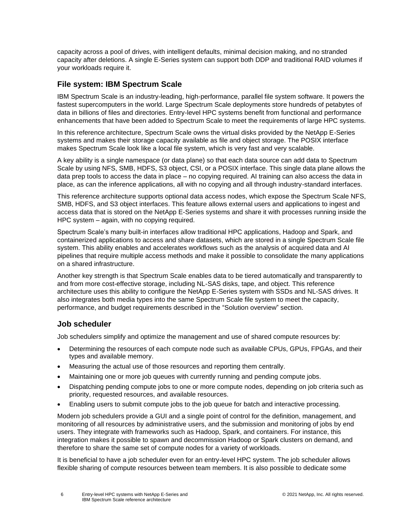capacity across a pool of drives, with intelligent defaults, minimal decision making, and no stranded capacity after deletions. A single E-Series system can support both DDP and traditional RAID volumes if your workloads require it.

#### <span id="page-5-0"></span>**File system: IBM Spectrum Scale**

IBM Spectrum Scale is an industry-leading, high-performance, parallel file system software. It powers the fastest supercomputers in the world. Large Spectrum Scale deployments store hundreds of petabytes of data in billions of files and directories. Entry-level HPC systems benefit from functional and performance enhancements that have been added to Spectrum Scale to meet the requirements of large HPC systems.

In this reference architecture, Spectrum Scale owns the virtual disks provided by the NetApp E-Series systems and makes their storage capacity available as file and object storage. The POSIX interface makes Spectrum Scale look like a local file system, which is very fast and very scalable.

A key ability is a single namespace (or data plane) so that each data source can add data to Spectrum Scale by using NFS, SMB, HDFS, S3 object, CSI, or a POSIX interface. This single data plane allows the data prep tools to access the data in place – no copying required. AI training can also access the data in place, as can the inference applications, all with no copying and all through industry-standard interfaces.

This reference architecture supports optional data access nodes, which expose the Spectrum Scale NFS, SMB, HDFS, and S3 object interfaces. This feature allows external users and applications to ingest and access data that is stored on the NetApp E-Series systems and share it with processes running inside the HPC system – again, with no copying required.

Spectrum Scale's many built-in interfaces allow traditional HPC applications, Hadoop and Spark, and containerized applications to access and share datasets, which are stored in a single Spectrum Scale file system. This ability enables and accelerates workflows such as the analysis of acquired data and AI pipelines that require multiple access methods and make it possible to consolidate the many applications on a shared infrastructure.

Another key strength is that Spectrum Scale enables data to be tiered automatically and transparently to and from more cost-effective storage, including NL-SAS disks, tape, and object. This reference architecture uses this ability to configure the NetApp E-Series system with SSDs and NL-SAS drives. It also integrates both media types into the same Spectrum Scale file system to meet the capacity, performance, and budget requirements described in the ["Solution overview"](#page-2-0) section.

#### <span id="page-5-1"></span>**Job scheduler**

Job schedulers simplify and optimize the management and use of shared compute resources by:

- Determining the resources of each compute node such as available CPUs, GPUs, FPGAs, and their types and available memory.
- Measuring the actual use of those resources and reporting them centrally.
- Maintaining one or more job queues with currently running and pending compute jobs.
- Dispatching pending compute jobs to one or more compute nodes, depending on job criteria such as priority, requested resources, and available resources.
- Enabling users to submit compute jobs to the job queue for batch and interactive processing.

Modern job schedulers provide a GUI and a single point of control for the definition, management, and monitoring of all resources by administrative users, and the submission and monitoring of jobs by end users. They integrate with frameworks such as Hadoop, Spark, and containers. For instance, this integration makes it possible to spawn and decommission Hadoop or Spark clusters on demand, and therefore to share the same set of compute nodes for a variety of workloads.

It is beneficial to have a job scheduler even for an entry-level HPC system. The job scheduler allows flexible sharing of compute resources between team members. It is also possible to dedicate some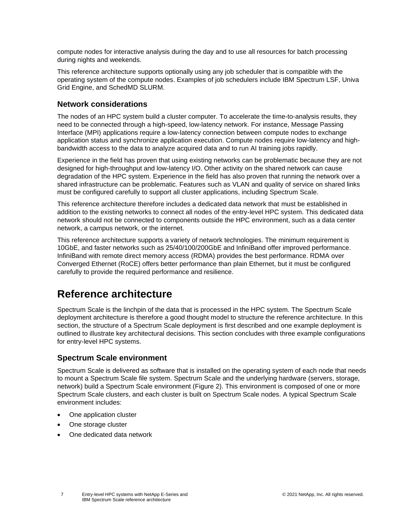compute nodes for interactive analysis during the day and to use all resources for batch processing during nights and weekends.

This reference architecture supports optionally using any job scheduler that is compatible with the operating system of the compute nodes. Examples of job schedulers include IBM Spectrum LSF, Univa Grid Engine, and SchedMD SLURM.

### <span id="page-6-0"></span>**Network considerations**

The nodes of an HPC system build a cluster computer. To accelerate the time-to-analysis results, they need to be connected through a high-speed, low-latency network. For instance, Message Passing Interface (MPI) applications require a low-latency connection between compute nodes to exchange application status and synchronize application execution. Compute nodes require low-latency and highbandwidth access to the data to analyze acquired data and to run AI training jobs rapidly.

Experience in the field has proven that using existing networks can be problematic because they are not designed for high-throughput and low-latency I/O. Other activity on the shared network can cause degradation of the HPC system. Experience in the field has also proven that running the network over a shared infrastructure can be problematic. Features such as VLAN and quality of service on shared links must be configured carefully to support all cluster applications, including Spectrum Scale.

This reference architecture therefore includes a dedicated data network that must be established in addition to the existing networks to connect all nodes of the entry-level HPC system. This dedicated data network should not be connected to components outside the HPC environment, such as a data center network, a campus network, or the internet.

This reference architecture supports a variety of network technologies. The minimum requirement is 10GbE, and faster networks such as 25/40/100/200GbE and InfiniBand offer improved performance. InfiniBand with remote direct memory access (RDMA) provides the best performance. RDMA over Converged Ethernet (RoCE) offers better performance than plain Ethernet, but it must be configured carefully to provide the required performance and resilience.

## <span id="page-6-1"></span>**Reference architecture**

Spectrum Scale is the linchpin of the data that is processed in the HPC system. The Spectrum Scale deployment architecture is therefore a good thought model to structure the reference architecture. In this section, the structure of a Spectrum Scale deployment is first described and one example deployment is outlined to illustrate key architectural decisions. This section concludes with three example configurations for entry-level HPC systems.

### <span id="page-6-2"></span>**Spectrum Scale environment**

Spectrum Scale is delivered as software that is installed on the operating system of each node that needs to mount a Spectrum Scale file system. Spectrum Scale and the underlying hardware (servers, storage, network) build a Spectrum Scale environment [\(Figure 2\)](#page-7-0). This environment is composed of one or more Spectrum Scale clusters, and each cluster is built on Spectrum Scale nodes. A typical Spectrum Scale environment includes:

- One application cluster
- One storage cluster
- One dedicated data network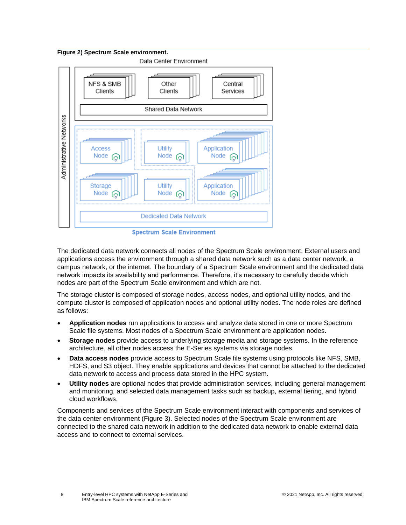<span id="page-7-0"></span>



**Spectrum Scale Environment** 

The dedicated data network connects all nodes of the Spectrum Scale environment. External users and applications access the environment through a shared data network such as a data center network, a campus network, or the internet. The boundary of a Spectrum Scale environment and the dedicated data network impacts its availability and performance. Therefore, it's necessary to carefully decide which nodes are part of the Spectrum Scale environment and which are not.

The storage cluster is composed of storage nodes, access nodes, and optional utility nodes, and the compute cluster is composed of application nodes and optional utility nodes. The node roles are defined as follows:

- **Application nodes** run applications to access and analyze data stored in one or more Spectrum Scale file systems. Most nodes of a Spectrum Scale environment are application nodes.
- **Storage nodes** provide access to underlying storage media and storage systems. In the reference architecture, all other nodes access the E-Series systems via storage nodes.
- **Data access nodes** provide access to Spectrum Scale file systems using protocols like NFS, SMB, HDFS, and S3 object. They enable applications and devices that cannot be attached to the dedicated data network to access and process data stored in the HPC system.
- **Utility nodes** are optional nodes that provide administration services, including general management and monitoring, and selected data management tasks such as backup, external tiering, and hybrid cloud workflows.

Components and services of the Spectrum Scale environment interact with components and services of the data center environment [\(Figure 3\)](#page-8-1). Selected nodes of the Spectrum Scale environment are connected to the shared data network in addition to the dedicated data network to enable external data access and to connect to external services.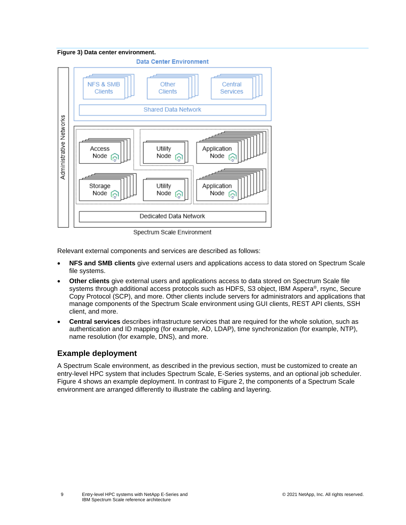<span id="page-8-1"></span>



Spectrum Scale Environment

Relevant external components and services are described as follows:

- **NFS and SMB clients** give external users and applications access to data stored on Spectrum Scale file systems.
- **Other clients** give external users and applications access to data stored on Spectrum Scale file systems through additional access protocols such as HDFS, S3 object, IBM Aspera®, rsync, Secure Copy Protocol (SCP), and more. Other clients include servers for administrators and applications that manage components of the Spectrum Scale environment using GUI clients, REST API clients, SSH client, and more.
- **Central services** describes infrastructure services that are required for the whole solution, such as authentication and ID mapping (for example, AD, LDAP), time synchronization (for example, NTP), name resolution (for example, DNS), and more.

### <span id="page-8-0"></span>**Example deployment**

A Spectrum Scale environment, as described in the previous section, must be customized to create an entry-level HPC system that includes Spectrum Scale, E-Series systems, and an optional job scheduler. [Figure 4](#page-9-1) shows an example deployment. In contrast to Figure 2, the components of a Spectrum Scale environment are arranged differently to illustrate the cabling and layering.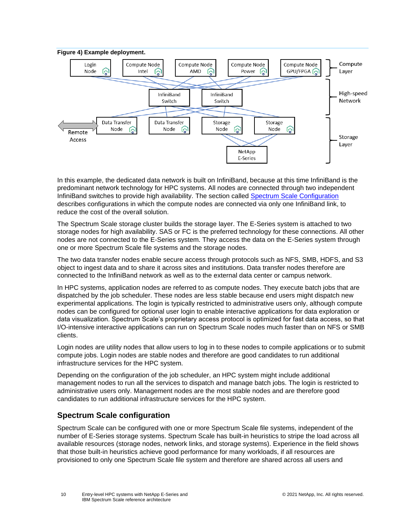<span id="page-9-1"></span>

In this example, the dedicated data network is built on InfiniBand, because at this time InfiniBand is the predominant network technology for HPC systems. All nodes are connected through two independent InfiniBand switches to provide high availability. The section called [Spectrum Scale Configuration](#page-9-0) describes configurations in which the compute nodes are connected via only one InfiniBand link, to reduce the cost of the overall solution.

The Spectrum Scale storage cluster builds the storage layer. The E-Series system is attached to two storage nodes for high availability. SAS or FC is the preferred technology for these connections. All other nodes are not connected to the E-Series system. They access the data on the E-Series system through one or more Spectrum Scale file systems and the storage nodes.

The two data transfer nodes enable secure access through protocols such as NFS, SMB, HDFS, and S3 object to ingest data and to share it across sites and institutions. Data transfer nodes therefore are connected to the InfiniBand network as well as to the external data center or campus network.

In HPC systems, application nodes are referred to as compute nodes. They execute batch jobs that are dispatched by the job scheduler. These nodes are less stable because end users might dispatch new experimental applications. The login is typically restricted to administrative users only, although compute nodes can be configured for optional user login to enable interactive applications for data exploration or data visualization. Spectrum Scale's proprietary access protocol is optimized for fast data access, so that I/O-intensive interactive applications can run on Spectrum Scale nodes much faster than on NFS or SMB clients.

Login nodes are utility nodes that allow users to log in to these nodes to compile applications or to submit compute jobs. Login nodes are stable nodes and therefore are good candidates to run additional infrastructure services for the HPC system.

Depending on the configuration of the job scheduler, an HPC system might include additional management nodes to run all the services to dispatch and manage batch jobs. The login is restricted to administrative users only. Management nodes are the most stable nodes and are therefore good candidates to run additional infrastructure services for the HPC system.

### <span id="page-9-0"></span>**Spectrum Scale configuration**

Spectrum Scale can be configured with one or more Spectrum Scale file systems, independent of the number of E-Series storage systems. Spectrum Scale has built-in heuristics to stripe the load across all available resources (storage nodes, network links, and storage systems). Experience in the field shows that those built-in heuristics achieve good performance for many workloads, if all resources are provisioned to only one Spectrum Scale file system and therefore are shared across all users and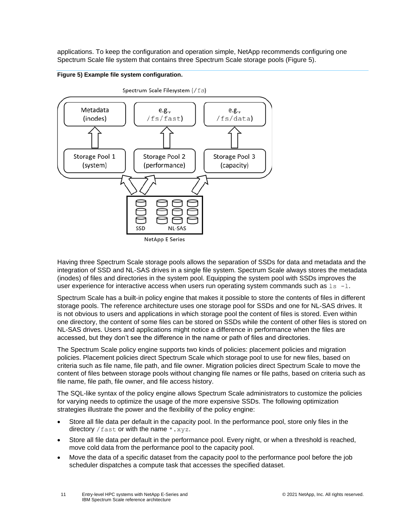applications. To keep the configuration and operation simple, NetApp recommends configuring one Spectrum Scale file system that contains three Spectrum Scale storage pools [\(Figure 5\)](#page-10-0).

<span id="page-10-0"></span>



**NetApp E Series** 

Having three Spectrum Scale storage pools allows the separation of SSDs for data and metadata and the integration of SSD and NL-SAS drives in a single file system. Spectrum Scale always stores the metadata (inodes) of files and directories in the system pool. Equipping the system pool with SSDs improves the user experience for interactive access when users run operating system commands such as  $ls -l$ .

Spectrum Scale has a built-in policy engine that makes it possible to store the contents of files in different storage pools. The reference architecture uses one storage pool for SSDs and one for NL-SAS drives. It is not obvious to users and applications in which storage pool the content of files is stored. Even within one directory, the content of some files can be stored on SSDs while the content of other files is stored on NL-SAS drives. Users and applications might notice a difference in performance when the files are accessed, but they don't see the difference in the name or path of files and directories.

The Spectrum Scale policy engine supports two kinds of policies: placement policies and migration policies. Placement policies direct Spectrum Scale which storage pool to use for new files, based on criteria such as file name, file path, and file owner. Migration policies direct Spectrum Scale to move the content of files between storage pools without changing file names or file paths, based on criteria such as file name, file path, file owner, and file access history.

The SQL-like syntax of the policy engine allows Spectrum Scale administrators to customize the policies for varying needs to optimize the usage of the more expensive SSDs. The following optimization strategies illustrate the power and the flexibility of the policy engine:

- Store all file data per default in the capacity pool. In the performance pool, store only files in the directory  $/$  fast or with the name  $*$ .  $xyz$ .
- Store all file data per default in the performance pool. Every night, or when a threshold is reached, move cold data from the performance pool to the capacity pool.
- Move the data of a specific dataset from the capacity pool to the performance pool before the job scheduler dispatches a compute task that accesses the specified dataset.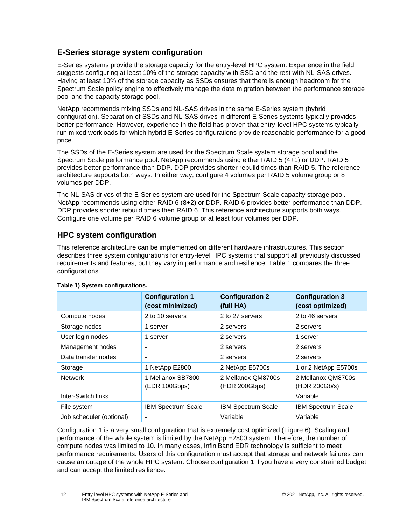### <span id="page-11-0"></span>**E-Series storage system configuration**

E-Series systems provide the storage capacity for the entry-level HPC system. Experience in the field suggests configuring at least 10% of the storage capacity with SSD and the rest with NL-SAS drives. Having at least 10% of the storage capacity as SSDs ensures that there is enough headroom for the Spectrum Scale policy engine to effectively manage the data migration between the performance storage pool and the capacity storage pool.

NetApp recommends mixing SSDs and NL-SAS drives in the same E-Series system (hybrid configuration). Separation of SSDs and NL-SAS drives in different E-Series systems typically provides better performance. However, experience in the field has proven that entry-level HPC systems typically run mixed workloads for which hybrid E-Series configurations provide reasonable performance for a good price.

The SSDs of the E-Series system are used for the Spectrum Scale system storage pool and the Spectrum Scale performance pool. NetApp recommends using either RAID 5 (4+1) or DDP. RAID 5 provides better performance than DDP. DDP provides shorter rebuild times than RAID 5. The reference architecture supports both ways. In either way, configure 4 volumes per RAID 5 volume group or 8 volumes per DDP.

The NL-SAS drives of the E-Series system are used for the Spectrum Scale capacity storage pool. NetApp recommends using either RAID 6 (8+2) or DDP. RAID 6 provides better performance than DDP. DDP provides shorter rebuild times then RAID 6. This reference architecture supports both ways. Configure one volume per RAID 6 volume group or at least four volumes per DDP.

### <span id="page-11-1"></span>**HPC system configuration**

This reference architecture can be implemented on different hardware infrastructures. This section describes three system configurations for entry-level HPC systems that support all previously discussed requirements and features, but they vary in performance and resilience. [Table 1](#page-11-2) compares the three configurations.

|                          | <b>Configuration 1</b><br>(cost minimized) | <b>Configuration 2</b><br>(full HA) | <b>Configuration 3</b><br>(cost optimized) |
|--------------------------|--------------------------------------------|-------------------------------------|--------------------------------------------|
| Compute nodes            | 2 to 10 servers                            | 2 to 27 servers                     | 2 to 46 servers                            |
| Storage nodes            | 1 server                                   | 2 servers                           | 2 servers                                  |
| User login nodes         | 1 server                                   | 2 servers                           | 1 server                                   |
| Management nodes         | $\overline{\phantom{a}}$                   | 2 servers                           | 2 servers                                  |
| Data transfer nodes      | $\overline{\phantom{a}}$                   | 2 servers                           | 2 servers                                  |
| Storage                  | 1 NetApp E2800                             | 2 NetApp E5700s                     | 1 or 2 NetApp E5700s                       |
| <b>Network</b>           | 1 Mellanox SB7800<br>(EDR 100Gbps)         | 2 Mellanox QM8700s<br>(HDR 200Gbps) | 2 Mellanox QM8700s<br>(HDR 200Gb/s)        |
| Inter-Switch links       |                                            |                                     | Variable                                   |
| File system              | <b>IBM Spectrum Scale</b>                  | <b>IBM Spectrum Scale</b>           | IBM Spectrum Scale                         |
| Job scheduler (optional) | $\blacksquare$                             | Variable                            | Variable                                   |

#### <span id="page-11-2"></span>**Table 1) System configurations.**

Configuration 1 is a very small configuration that is extremely cost optimized [\(Figure 6\)](#page-12-0). Scaling and performance of the whole system is limited by the NetApp E2800 system. Therefore, the number of compute nodes was limited to 10. In many cases, InfiniBand EDR technology is sufficient to meet performance requirements. Users of this configuration must accept that storage and network failures can cause an outage of the whole HPC system. Choose configuration 1 if you have a very constrained budget and can accept the limited resilience.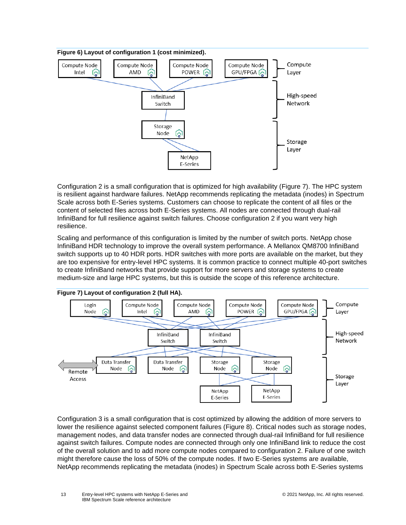<span id="page-12-0"></span>

Configuration 2 is a small configuration that is optimized for high availability [\(Figure 7\)](#page-12-1). The HPC system is resilient against hardware failures. NetApp recommends replicating the metadata (inodes) in Spectrum Scale across both E-Series systems. Customers can choose to replicate the content of all files or the content of selected files across both E-Series systems. All nodes are connected through dual-rail InfiniBand for full resilience against switch failures. Choose configuration 2 if you want very high resilience.

Scaling and performance of this configuration is limited by the number of switch ports. NetApp chose InfiniBand HDR technology to improve the overall system performance. A Mellanox QM8700 InfiniBand switch supports up to 40 HDR ports. HDR switches with more ports are available on the market, but they are too expensive for entry-level HPC systems. It is common practice to connect multiple 40-port switches to create InfiniBand networks that provide support for more servers and storage systems to create medium-size and large HPC systems, but this is outside the scope of this reference architecture.

<span id="page-12-1"></span>

Configuration 3 is a small configuration that is cost optimized by allowing the addition of more servers to lower the resilience against selected component failures [\(Figure 8\)](#page-13-2). Critical nodes such as storage nodes, management nodes, and data transfer nodes are connected through dual-rail InfiniBand for full resilience against switch failures. Compute nodes are connected through only one InfiniBand link to reduce the cost of the overall solution and to add more compute nodes compared to configuration 2. Failure of one switch might therefore cause the loss of 50% of the compute nodes. If two E-Series systems are available, NetApp recommends replicating the metadata (inodes) in Spectrum Scale across both E-Series systems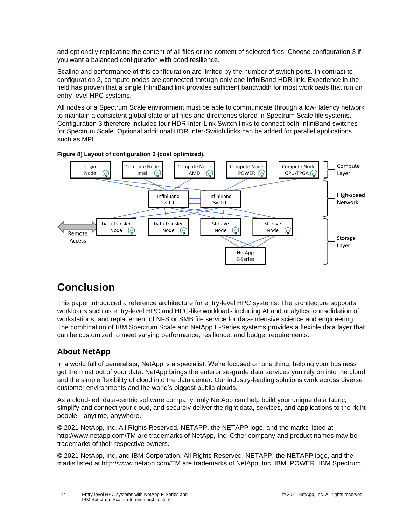and optionally replicating the content of all files or the content of selected files. Choose configuration 3 if you want a balanced configuration with good resilience.

Scaling and performance of this configuration are limited by the number of switch ports. In contrast to configuration 2, compute nodes are connected through only one InfiniBand HDR link. Experience in the field has proven that a single InfiniBand link provides sufficient bandwidth for most workloads that run on entry-level HPC systems.

All nodes of a Spectrum Scale environment must be able to communicate through a low- latency network to maintain a consistent global state of all files and directories stored in Spectrum Scale file systems. Configuration 3 therefore includes four HDR Inter-Link Switch links to connect both InfiniBand switches for Spectrum Scale. Optional additional HDR Inter-Switch links can be added for parallel applications such as MPI.

<span id="page-13-2"></span>

## <span id="page-13-0"></span>**Conclusion**

This paper introduced a reference architecture for entry-level HPC systems. The architecture supports workloads such as entry-level HPC and HPC-like workloads including AI and analytics, consolidation of workstations, and replacement of NFS or SMB file service for data-intensive science and engineering. The combination of IBM Spectrum Scale and NetApp E-Series systems provides a flexible data layer that can be customized to meet varying performance, resilience, and budget requirements.

### <span id="page-13-1"></span>**About NetApp**

In a world full of generalists, NetApp is a specialist. We're focused on one thing, helping your business get the most out of your data. NetApp brings the enterprise-grade data services you rely on into the cloud, and the simple flexibility of cloud into the data center. Our industry-leading solutions work across diverse customer environments and the world's biggest public clouds.

As a cloud-led, data-centric software company, only NetApp can help build your unique data fabric, simplify and connect your cloud, and securely deliver the right data, services, and applications to the right people—anytime, anywhere.

© 2021 NetApp, Inc. All Rights Reserved. NETAPP, the NETAPP logo, and the marks listed at http://www.netapp.com/TM are trademarks of NetApp, Inc. Other company and product names may be trademarks of their respective owners.

© 2021 NetApp, Inc. and IBM Corporation. All Rights Reserved. NETAPP, the NETAPP logo, and the marks listed at http://www.netapp.com/TM are trademarks of NetApp, Inc. IBM, POWER, IBM Spectrum,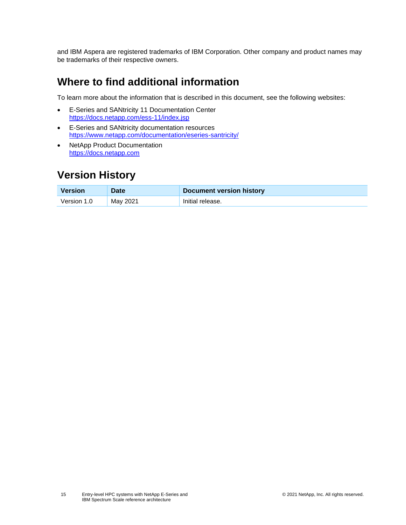and IBM Aspera are registered trademarks of IBM Corporation. Other company and product names may be trademarks of their respective owners.

## <span id="page-14-0"></span>**Where to find additional information**

To learn more about the information that is described in this document, see the following websites:

- E-Series and SANtricity 11 Documentation Center <https://docs.netapp.com/ess-11/index.jsp>
- E-Series and SANtricity documentation resources <https://www.netapp.com/documentation/eseries-santricity/>
- NetApp Product Documentation [https://docs.netapp.com](https://docs.netapp.com/)

## <span id="page-14-1"></span>**Version History**

| <b>Version</b> | <b>Date</b> | <b>Document version history</b> |
|----------------|-------------|---------------------------------|
| Version 1.0    | May 2021    | Initial release.                |